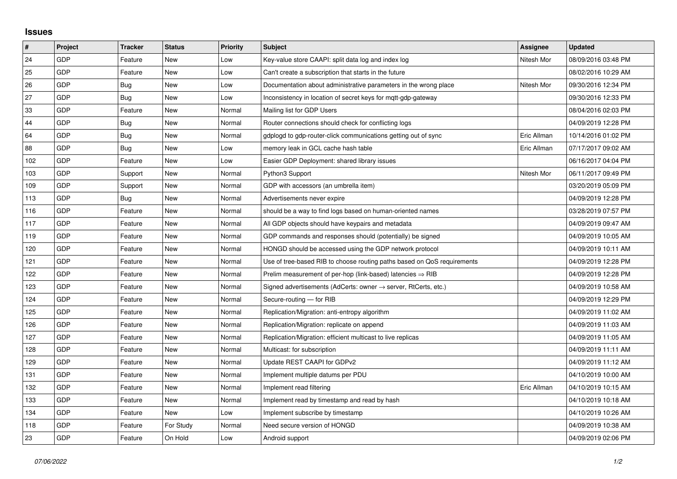## **Issues**

| $\sharp$ | <b>Project</b> | <b>Tracker</b> | <b>Status</b> | <b>Priority</b> | <b>Subject</b>                                                          | Assignee    | <b>Updated</b>      |
|----------|----------------|----------------|---------------|-----------------|-------------------------------------------------------------------------|-------------|---------------------|
| 24       | GDP            | Feature        | <b>New</b>    | Low             | Key-value store CAAPI: split data log and index log                     | Nitesh Mor  | 08/09/2016 03:48 PM |
| 25       | GDP            | Feature        | New           | Low             | Can't create a subscription that starts in the future                   |             | 08/02/2016 10:29 AM |
| 26       | GDP            | Bug            | <b>New</b>    | Low             | Documentation about administrative parameters in the wrong place        | Nitesh Mor  | 09/30/2016 12:34 PM |
| 27       | <b>GDP</b>     | <b>Bug</b>     | <b>New</b>    | Low             | Inconsistency in location of secret keys for mqtt-gdp-gateway           |             | 09/30/2016 12:33 PM |
| 33       | <b>GDP</b>     | Feature        | <b>New</b>    | Normal          | Mailing list for GDP Users                                              |             | 08/04/2016 02:03 PM |
| 44       | <b>GDP</b>     | Bug            | <b>New</b>    | Normal          | Router connections should check for conflicting logs                    |             | 04/09/2019 12:28 PM |
| 64       | GDP            | Bug            | <b>New</b>    | Normal          | gdplogd to gdp-router-click communications getting out of sync          | Eric Allman | 10/14/2016 01:02 PM |
| 88       | <b>GDP</b>     | Bug            | <b>New</b>    | Low             | memory leak in GCL cache hash table                                     | Eric Allman | 07/17/2017 09:02 AM |
| 102      | <b>GDP</b>     | Feature        | <b>New</b>    | Low             | Easier GDP Deployment: shared library issues                            |             | 06/16/2017 04:04 PM |
| 103      | GDP            | Support        | <b>New</b>    | Normal          | Python3 Support                                                         | Nitesh Mor  | 06/11/2017 09:49 PM |
| 109      | <b>GDP</b>     | Support        | <b>New</b>    | Normal          | GDP with accessors (an umbrella item)                                   |             | 03/20/2019 05:09 PM |
| 113      | <b>GDP</b>     | Bug            | New           | Normal          | Advertisements never expire                                             |             | 04/09/2019 12:28 PM |
| 116      | GDP            | Feature        | <b>New</b>    | Normal          | should be a way to find logs based on human-oriented names              |             | 03/28/2019 07:57 PM |
| 117      | <b>GDP</b>     | Feature        | <b>New</b>    | Normal          | All GDP objects should have keypairs and metadata                       |             | 04/09/2019 09:47 AM |
| 119      | <b>GDP</b>     | Feature        | <b>New</b>    | Normal          | GDP commands and responses should (potentially) be signed               |             | 04/09/2019 10:05 AM |
| 120      | GDP            | Feature        | <b>New</b>    | Normal          | HONGD should be accessed using the GDP network protocol                 |             | 04/09/2019 10:11 AM |
| 121      | GDP            | Feature        | New           | Normal          | Use of tree-based RIB to choose routing paths based on QoS requirements |             | 04/09/2019 12:28 PM |
| 122      | <b>GDP</b>     | Feature        | <b>New</b>    | Normal          | Prelim measurement of per-hop (link-based) latencies $\Rightarrow$ RIB  |             | 04/09/2019 12:28 PM |
| 123      | GDP            | Feature        | New           | Normal          | Signed advertisements (AdCerts: owner → server, RtCerts, etc.)          |             | 04/09/2019 10:58 AM |
| 124      | GDP            | Feature        | <b>New</b>    | Normal          | Secure-routing - for RIB                                                |             | 04/09/2019 12:29 PM |
| 125      | <b>GDP</b>     | Feature        | <b>New</b>    | Normal          | Replication/Migration: anti-entropy algorithm                           |             | 04/09/2019 11:02 AM |
| 126      | GDP            | Feature        | <b>New</b>    | Normal          | Replication/Migration: replicate on append                              |             | 04/09/2019 11:03 AM |
| 127      | <b>GDP</b>     | Feature        | <b>New</b>    | Normal          | Replication/Migration: efficient multicast to live replicas             |             | 04/09/2019 11:05 AM |
| 128      | <b>GDP</b>     | Feature        | <b>New</b>    | Normal          | Multicast: for subscription                                             |             | 04/09/2019 11:11 AM |
| 129      | GDP            | Feature        | <b>New</b>    | Normal          | Update REST CAAPI for GDPv2                                             |             | 04/09/2019 11:12 AM |
| 131      | <b>GDP</b>     | Feature        | <b>New</b>    | Normal          | Implement multiple datums per PDU                                       |             | 04/10/2019 10:00 AM |
| 132      | <b>GDP</b>     | Feature        | <b>New</b>    | Normal          | Implement read filtering                                                | Eric Allman | 04/10/2019 10:15 AM |
| 133      | <b>GDP</b>     | Feature        | <b>New</b>    | Normal          | Implement read by timestamp and read by hash                            |             | 04/10/2019 10:18 AM |
| 134      | GDP            | Feature        | <b>New</b>    | Low             | Implement subscribe by timestamp                                        |             | 04/10/2019 10:26 AM |
| 118      | <b>GDP</b>     | Feature        | For Study     | Normal          | Need secure version of HONGD                                            |             | 04/09/2019 10:38 AM |
| 23       | GDP            | Feature        | On Hold       | Low             | Android support                                                         |             | 04/09/2019 02:06 PM |